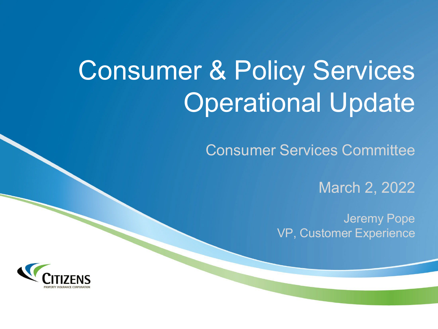# Consumer & Policy Services Operational Update

Consumer Services Committee

March 2, 2022

Jeremy Pope VP, Customer Experience

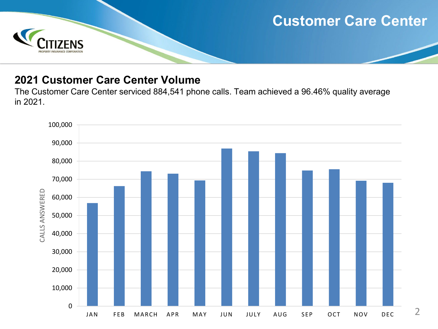## **Customer Care Center**



#### **2021 Customer Care Center Volume**

The Customer Care Center serviced 884,541 phone calls. Team achieved a 96.46% quality average in 2021.

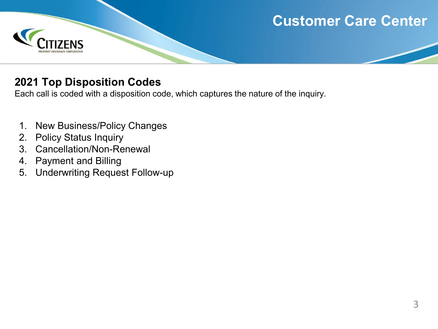# **Customer Care Center**



#### **2021 Top Disposition Codes**

Each call is coded with a disposition code, which captures the nature of the inquiry.

- 1. New Business/Policy Changes
- 2. Policy Status Inquiry
- 3. Cancellation/Non-Renewal
- 4. Payment and Billing
- 5. Underwriting Request Follow-up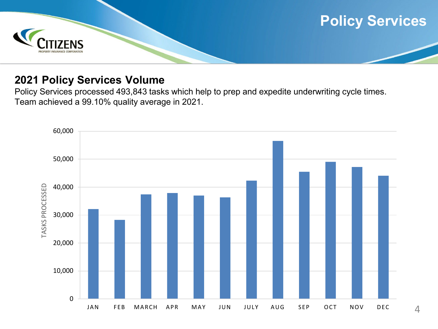

#### **2021 Policy Services Volume**

Policy Services processed 493,843 tasks which help to prep and expedite underwriting cycle times. Team achieved a 99.10% quality average in 2021.

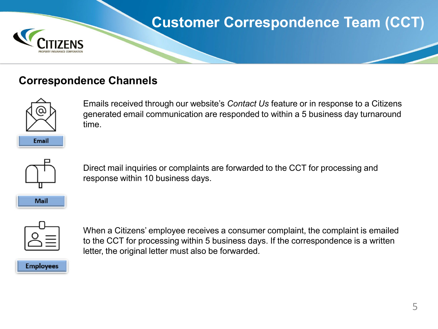

# **Customer Correspondence Team (CCT)**

#### **Correspondence Channels**



Emails received through our website's *Contact Us* feature or in response to a Citizens generated email communication are responded to within a 5 business day turnaround time.



**Mail** 

Direct mail inquiries or complaints are forwarded to the CCT for processing and response within 10 business days.



When a Citizens' employee receives a consumer complaint, the complaint is emailed to the CCT for processing within 5 business days. If the correspondence is a written letter, the original letter must also be forwarded.

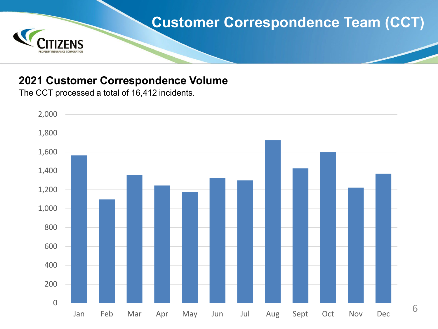

#### **2021 Customer Correspondence Volume**

The CCT processed a total of 16,412 incidents.



6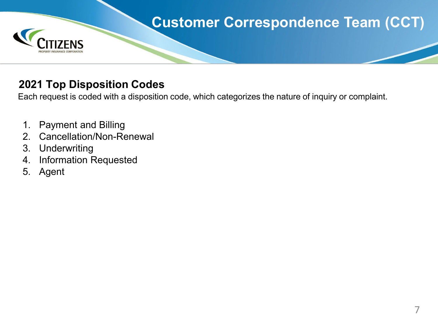

#### **2021 Top Disposition Codes**

Each request is coded with a disposition code, which categorizes the nature of inquiry or complaint.

- 1. Payment and Billing
- 2. Cancellation/Non-Renewal
- 3. Underwriting
- 4. Information Requested
- 5. Agent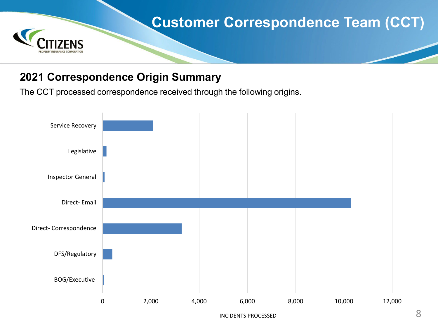

#### **2021 Correspondence Origin Summary**

The CCT processed correspondence received through the following origins.



INCIDENTS PROCESSED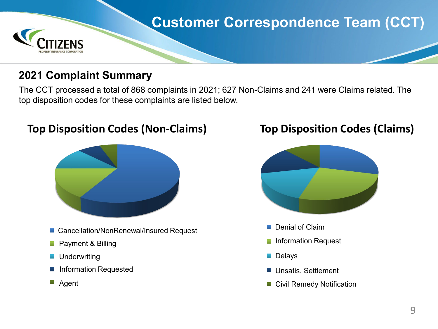

#### **2021 Complaint Summary**

The CCT processed a total of 868 complaints in 2021; 627 Non-Claims and 241 were Claims related. The top disposition codes for these complaints are listed below.

**Top Disposition Codes (Non-Claims)**

- Cancellation/NonRenewal/Insured Request: 55% Cancellation/NonRenewal/Insured Request
- Payment & Billing: 15% Payment & Billing
- Underwriting
- Information Requested: 7% Information Requested
- Agent:

### **Top Disposition Codes (Claims)**



- Denial of Claim
- Information Request: 20% Information Request
- Delays: 13% Delays
- Unsatis. Settlement: 13% Unsatis. Settlement
- Civil Remedy Notification: 9% Civil Remedy Notification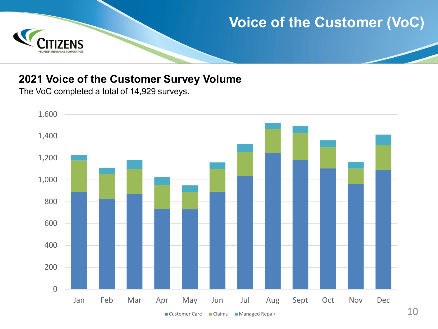

#### **2021 Voice of the Customer Survey Volume**

The VoC completed a total of 14,929 surveys.